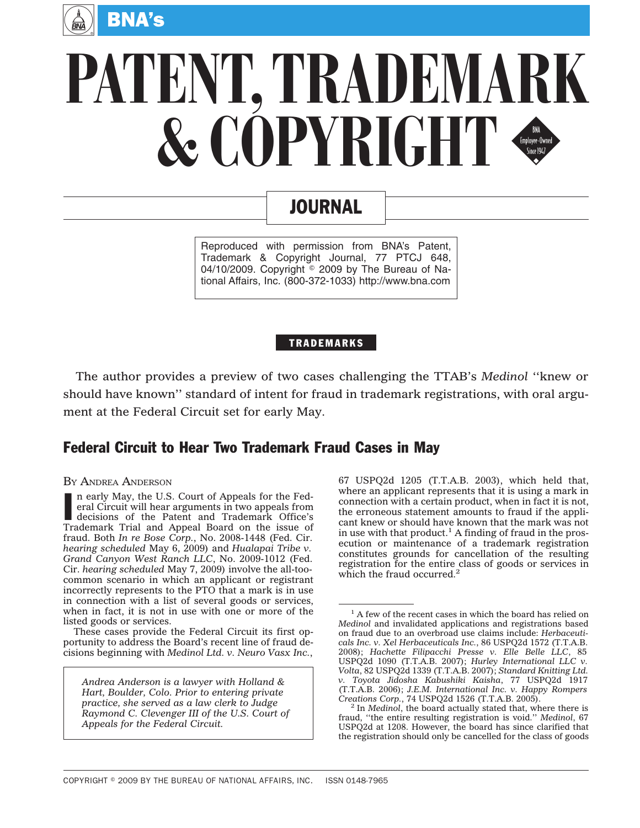

# **PATENT, TRADEMARK** & COPYRIGHT

## JOURNAL

Reproduced with permission from BNA's Patent, Trademark & Copyright Journal, 77 PTCJ 648, 04/10/2009. Copyright  $\textdegree$  2009 by The Bureau of National Affairs, Inc. (800-372-1033) http://www.bna.com

#### TRADEMARKS

The author provides a preview of two cases challenging the TTAB's *Medinol* ''knew or should have known'' standard of intent for fraud in trademark registrations, with oral argument at the Federal Circuit set for early May.

### Federal Circuit to Hear Two Trademark Fraud Cases in May

#### BY ANDREA ANDERSON

In early May, the U.S. Court of Appeals for the Federal Circuit will hear arguments in two appeals from decisions of the Patent and Trademark Office's<br>Trademark Trial and Appeal Board on the issue of n early May, the U.S. Court of Appeals for the Federal Circuit will hear arguments in two appeals from decisions of the Patent and Trademark Office's fraud. Both *In re Bose Corp.*, No. 2008-1448 (Fed. Cir. *hearing scheduled* May 6, 2009) and *Hualapai Tribe v. Grand Canyon West Ranch LLC*, No. 2009-1012 (Fed. Cir. *hearing scheduled* May 7, 2009) involve the all-toocommon scenario in which an applicant or registrant incorrectly represents to the PTO that a mark is in use in connection with a list of several goods or services, when in fact, it is not in use with one or more of the listed goods or services.

These cases provide the Federal Circuit its first opportunity to address the Board's recent line of fraud decisions beginning with *Medinol Ltd. v. Neuro Vasx Inc.*,

*Andrea Anderson is a lawyer with Holland & Hart, Boulder, Colo. Prior to entering private practice, she served as a law clerk to Judge Raymond C. Clevenger III of the U.S. Court of Appeals for the Federal Circuit.*

67 USPQ2d 1205 (T.T.A.B. 2003), which held that, where an applicant represents that it is using a mark in connection with a certain product, when in fact it is not, the erroneous statement amounts to fraud if the applicant knew or should have known that the mark was not in use with that product.<sup>1</sup> A finding of fraud in the prosecution or maintenance of a trademark registration constitutes grounds for cancellation of the resulting registration for the entire class of goods or services in which the fraud occurred.<sup>2</sup>

<sup>&</sup>lt;sup>1</sup> A few of the recent cases in which the board has relied on *Medinol* and invalidated applications and registrations based on fraud due to an overbroad use claims include: *Herbaceuticals Inc. v. Xel Herbaceuticals Inc.*, 86 USPQ2d 1572 (T.T.A.B. 2008); *Hachette Filipacchi Presse v. Elle Belle LLC*, 85 USPQ2d 1090 (T.T.A.B. 2007); *Hurley International LLC v. Volta*, 82 USPQ2d 1339 (T.T.A.B. 2007); *Standard Knitting Ltd. v. Toyota Jidosha Kabushiki Kaisha*, 77 USPQ2d 1917 (T.T.A.B. 2006); *J.E.M. International Inc. v. Happy Rompers*

<sup>&</sup>lt;sup>2</sup> In *Medinol*, the board actually stated that, where there is fraud, ''the entire resulting registration is void.'' *Medinol*, 67 USPQ2d at 1208. However, the board has since clarified that the registration should only be cancelled for the class of goods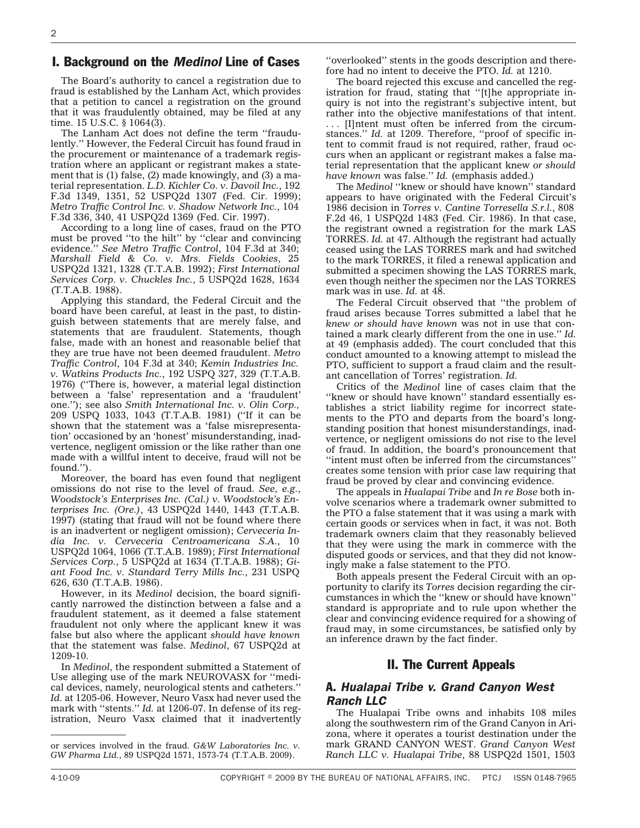#### I. Background on the *Medinol* Line of Cases

The Board's authority to cancel a registration due to fraud is established by the Lanham Act, which provides that a petition to cancel a registration on the ground that it was fraudulently obtained, may be filed at any time. 15 U.S.C. § 1064(3).

The Lanham Act does not define the term ''fraudulently.'' However, the Federal Circuit has found fraud in the procurement or maintenance of a trademark registration where an applicant or registrant makes a statement that is (1) false, (2) made knowingly, and (3) a material representation. *L.D. Kichler Co. v. Davoil Inc.*, 192 F.3d 1349, 1351, 52 USPQ2d 1307 (Fed. Cir. 1999); *Metro Traffic Control Inc. v. Shadow Network Inc.*, 104 F.3d 336, 340, 41 USPQ2d 1369 (Fed. Cir. 1997).

According to a long line of cases, fraud on the PTO must be proved ''to the hilt'' by ''clear and convincing evidence.'' *See Metro Traffic Control*, 104 F.3d at 340; *Marshall Field & Co. v. Mrs. Fields Cookies*, 25 USPQ2d 1321, 1328 (T.T.A.B. 1992); *First International Services Corp. v. Chuckles Inc.*, 5 USPQ2d 1628, 1634 (T.T.A.B. 1988).

Applying this standard, the Federal Circuit and the board have been careful, at least in the past, to distinguish between statements that are merely false, and statements that are fraudulent. Statements, though false, made with an honest and reasonable belief that they are true have not been deemed fraudulent. *Metro Traffic Control*, 104 F.3d at 340; *Kemin Industries Inc. v. Watkins Products Inc.*, 192 USPQ 327, 329 (T.T.A.B. 1976) (''There is, however, a material legal distinction between a 'false' representation and a 'fraudulent' one.''); see also *Smith International Inc. v. Olin Corp.,* 209 USPQ 1033, 1043 (T.T.A.B. 1981) (''If it can be shown that the statement was a 'false misrepresentation' occasioned by an 'honest' misunderstanding, inadvertence, negligent omission or the like rather than one made with a willful intent to deceive, fraud will not be found.'').

Moreover, the board has even found that negligent omissions do not rise to the level of fraud. *See, e.g.*, *Woodstock's Enterprises Inc. (Cal.) v. Woodstock's Enterprises Inc. (Ore.)*, 43 USPQ2d 1440, 1443 (T.T.A.B. 1997) (stating that fraud will not be found where there is an inadvertent or negligent omission); *Cerveceria India Inc. v. Cerveceria Centroamericana S.A.*, 10 USPQ2d 1064, 1066 (T.T.A.B. 1989); *First International Services Corp.*, 5 USPQ2d at 1634 (T.T.A.B. 1988); *Giant Food Inc. v. Standard Terry Mills Inc.*, 231 USPQ 626, 630 (T.T.A.B. 1986).

However, in its *Medinol* decision, the board significantly narrowed the distinction between a false and a fraudulent statement, as it deemed a false statement fraudulent not only where the applicant knew it was false but also where the applicant *should have known* that the statement was false. *Medinol*, 67 USPQ2d at 1209-10.

In *Medinol*, the respondent submitted a Statement of Use alleging use of the mark NEUROVASX for ''medical devices, namely, neurological stents and catheters.'' *Id.* at 1205-06. However, Neuro Vasx had never used the mark with "stents." *Id.* at 1206-07. In defense of its registration, Neuro Vasx claimed that it inadvertently

''overlooked'' stents in the goods description and therefore had no intent to deceive the PTO. *Id.* at 1210.

The board rejected this excuse and cancelled the registration for fraud, stating that ''[t]he appropriate inquiry is not into the registrant's subjective intent, but rather into the objective manifestations of that intent. . . . [I]ntent must often be inferred from the circumstances." *Id.* at 1209. Therefore, "proof of specific intent to commit fraud is not required, rather, fraud occurs when an applicant or registrant makes a false material representation that the applicant knew *or should have known* was false.'' *Id.* (emphasis added.)

The *Medinol* ''knew or should have known'' standard appears to have originated with the Federal Circuit's 1986 decision in *Torres v. Cantine Torresella S.r.l.*, 808 F.2d 46, 1 USPQ2d 1483 (Fed. Cir. 1986). In that case, the registrant owned a registration for the mark LAS TORRES. *Id.* at 47. Although the registrant had actually ceased using the LAS TORRES mark and had switched to the mark TORRES, it filed a renewal application and submitted a specimen showing the LAS TORRES mark, even though neither the specimen nor the LAS TORRES mark was in use. *Id.* at 48.

The Federal Circuit observed that ''the problem of fraud arises because Torres submitted a label that he *knew or should have known* was not in use that contained a mark clearly different from the one in use.'' *Id.* at 49 (emphasis added). The court concluded that this conduct amounted to a knowing attempt to mislead the PTO, sufficient to support a fraud claim and the resultant cancellation of Torres' registration. *Id.*

Critics of the *Medinol* line of cases claim that the ''knew or should have known'' standard essentially establishes a strict liability regime for incorrect statements to the PTO and departs from the board's longstanding position that honest misunderstandings, inadvertence, or negligent omissions do not rise to the level of fraud. In addition, the board's pronouncement that ''intent must often be inferred from the circumstances'' creates some tension with prior case law requiring that fraud be proved by clear and convincing evidence.

The appeals in *Hualapai Tribe* and *In re Bose* both involve scenarios where a trademark owner submitted to the PTO a false statement that it was using a mark with certain goods or services when in fact, it was not. Both trademark owners claim that they reasonably believed that they were using the mark in commerce with the disputed goods or services, and that they did not knowingly make a false statement to the PTO.

Both appeals present the Federal Circuit with an opportunity to clarify its *Torres* decision regarding the circumstances in which the ''knew or should have known'' standard is appropriate and to rule upon whether the clear and convincing evidence required for a showing of fraud may, in some circumstances, be satisfied only by an inference drawn by the fact finder.

#### II. The Current Appeals

#### A. *Hualapai Tribe v. Grand Canyon West Ranch LLC*

The Hualapai Tribe owns and inhabits 108 miles along the southwestern rim of the Grand Canyon in Arizona, where it operates a tourist destination under the mark GRAND CANYON WEST. *Grand Canyon West Ranch LLC v. Hualapai Tribe*, 88 USPQ2d 1501, 1503

or services involved in the fraud. *G&W Laboratories Inc. v. GW Pharma Ltd.*, 89 USPQ2d 1571, 1573-74 (T.T.A.B. 2009).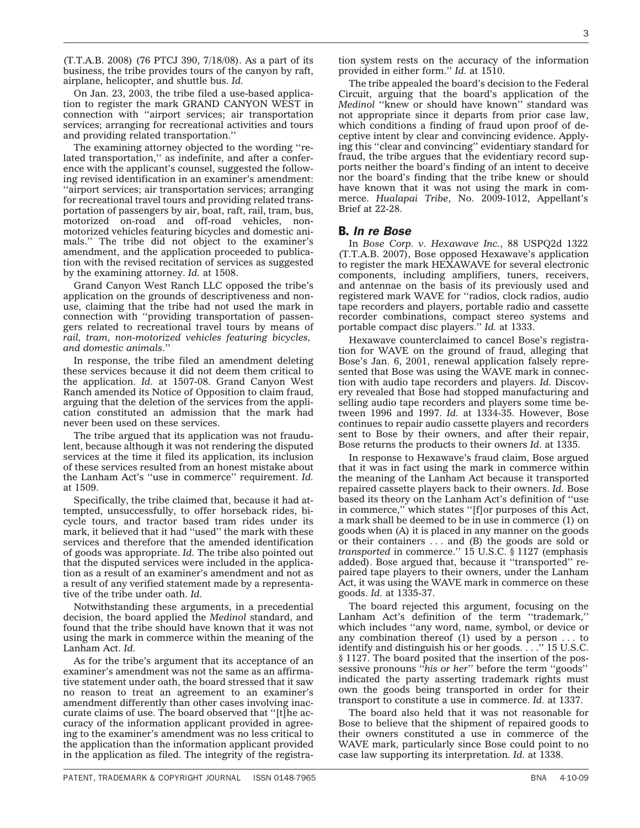(T.T.A.B. 2008) (76 PTCJ 390, 7/18/08). As a part of its business, the tribe provides tours of the canyon by raft, airplane, helicopter, and shuttle bus. *Id.*

On Jan. 23, 2003, the tribe filed a use-based application to register the mark GRAND CANYON WEST in connection with ''airport services; air transportation services; arranging for recreational activities and tours and providing related transportation.''

The examining attorney objected to the wording ''related transportation," as indefinite, and after a conference with the applicant's counsel, suggested the following revised identification in an examiner's amendment: ''airport services; air transportation services; arranging for recreational travel tours and providing related transportation of passengers by air, boat, raft, rail, tram, bus, motorized on-road and off-road vehicles, nonmotorized vehicles featuring bicycles and domestic animals.'' The tribe did not object to the examiner's amendment, and the application proceeded to publication with the revised recitation of services as suggested by the examining attorney. *Id.* at 1508.

Grand Canyon West Ranch LLC opposed the tribe's application on the grounds of descriptiveness and nonuse, claiming that the tribe had not used the mark in connection with ''providing transportation of passengers related to recreational travel tours by means of *rail, tram, non-motorized vehicles featuring bicycles, and domestic animals*.''

In response, the tribe filed an amendment deleting these services because it did not deem them critical to the application. *Id.* at 1507-08. Grand Canyon West Ranch amended its Notice of Opposition to claim fraud, arguing that the deletion of the services from the application constituted an admission that the mark had never been used on these services.

The tribe argued that its application was not fraudulent, because although it was not rendering the disputed services at the time it filed its application, its inclusion of these services resulted from an honest mistake about the Lanham Act's ''use in commerce'' requirement. *Id.* at 1509.

Specifically, the tribe claimed that, because it had attempted, unsuccessfully, to offer horseback rides, bicycle tours, and tractor based tram rides under its mark, it believed that it had ''used'' the mark with these services and therefore that the amended identification of goods was appropriate. *Id.* The tribe also pointed out that the disputed services were included in the application as a result of an examiner's amendment and not as a result of any verified statement made by a representative of the tribe under oath. *Id.*

Notwithstanding these arguments, in a precedential decision, the board applied the *Medinol* standard, and found that the tribe should have known that it was not using the mark in commerce within the meaning of the Lanham Act. *Id.*

As for the tribe's argument that its acceptance of an examiner's amendment was not the same as an affirmative statement under oath, the board stressed that it saw no reason to treat an agreement to an examiner's amendment differently than other cases involving inaccurate claims of use. The board observed that ''[t]he accuracy of the information applicant provided in agreeing to the examiner's amendment was no less critical to the application than the information applicant provided in the application as filed. The integrity of the registra-

tion system rests on the accuracy of the information provided in either form.'' *Id.* at 1510.

The tribe appealed the board's decision to the Federal Circuit, arguing that the board's application of the *Medinol* "knew or should have known" standard was not appropriate since it departs from prior case law, which conditions a finding of fraud upon proof of deceptive intent by clear and convincing evidence. Applying this ''clear and convincing'' evidentiary standard for fraud, the tribe argues that the evidentiary record supports neither the board's finding of an intent to deceive nor the board's finding that the tribe knew or should have known that it was not using the mark in commerce. *Hualapai Tribe*, No. 2009-1012, Appellant's Brief at 22-28.

#### B. *In re Bose*

In *Bose Corp. v. Hexawave Inc.*, 88 USPQ2d 1322 (T.T.A.B. 2007), Bose opposed Hexawave's application to register the mark HEXAWAVE for several electronic components, including amplifiers, tuners, receivers, and antennae on the basis of its previously used and registered mark WAVE for ''radios, clock radios, audio tape recorders and players, portable radio and cassette recorder combinations, compact stereo systems and portable compact disc players.'' *Id.* at 1333.

Hexawave counterclaimed to cancel Bose's registration for WAVE on the ground of fraud, alleging that Bose's Jan. 6, 2001, renewal application falsely represented that Bose was using the WAVE mark in connection with audio tape recorders and players. *Id.* Discovery revealed that Bose had stopped manufacturing and selling audio tape recorders and players some time between 1996 and 1997. *Id.* at 1334-35. However, Bose continues to repair audio cassette players and recorders sent to Bose by their owners, and after their repair, Bose returns the products to their owners *Id.* at 1335.

In response to Hexawave's fraud claim, Bose argued that it was in fact using the mark in commerce within the meaning of the Lanham Act because it transported repaired cassette players back to their owners. *Id.* Bose based its theory on the Lanham Act's definition of ''use in commerce,'' which states ''[f]or purposes of this Act, a mark shall be deemed to be in use in commerce (1) on goods when (A) it is placed in any manner on the goods or their containers . . . and (B) the goods are sold or *transported* in commerce.'' 15 U.S.C. § 1127 (emphasis added). Bose argued that, because it ''transported'' repaired tape players to their owners, under the Lanham Act, it was using the WAVE mark in commerce on these goods. *Id.* at 1335-37.

The board rejected this argument, focusing on the Lanham Act's definition of the term ''trademark,'' which includes ''any word, name, symbol, or device or any combination thereof  $(1)$  used by a person ... to identify and distinguish his or her goods. . . .'' 15 U.S.C. § 1127. The board posited that the insertion of the possessive pronouns ''*his or her*'' before the term ''goods'' indicated the party asserting trademark rights must own the goods being transported in order for their transport to constitute a use in commerce. *Id.* at 1337.

The board also held that it was not reasonable for Bose to believe that the shipment of repaired goods to their owners constituted a use in commerce of the WAVE mark, particularly since Bose could point to no case law supporting its interpretation. *Id.* at 1338.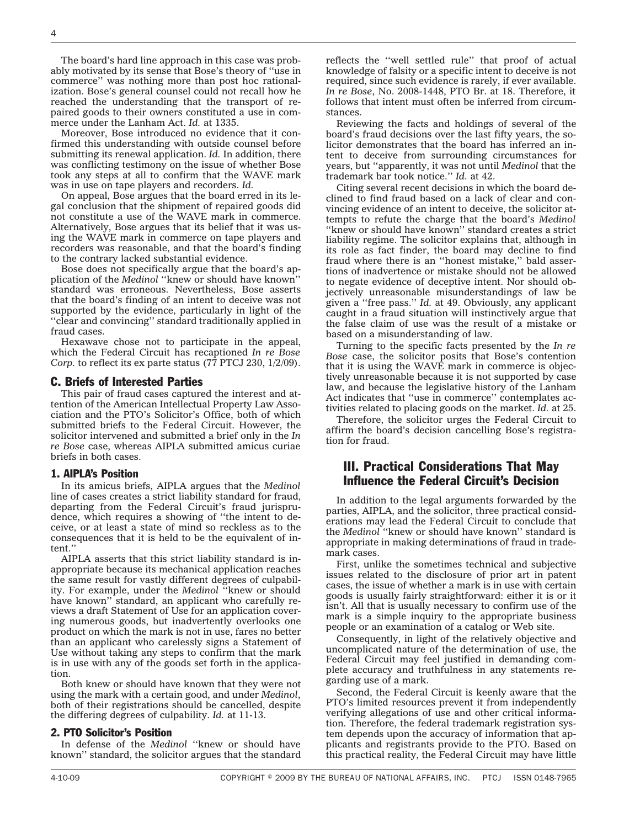The board's hard line approach in this case was probably motivated by its sense that Bose's theory of ''use in commerce'' was nothing more than post hoc rationalization. Bose's general counsel could not recall how he reached the understanding that the transport of repaired goods to their owners constituted a use in commerce under the Lanham Act. *Id.* at 1335.

Moreover, Bose introduced no evidence that it confirmed this understanding with outside counsel before submitting its renewal application. *Id.* In addition, there was conflicting testimony on the issue of whether Bose took any steps at all to confirm that the WAVE mark was in use on tape players and recorders. *Id.*

On appeal, Bose argues that the board erred in its legal conclusion that the shipment of repaired goods did not constitute a use of the WAVE mark in commerce. Alternatively, Bose argues that its belief that it was using the WAVE mark in commerce on tape players and recorders was reasonable, and that the board's finding to the contrary lacked substantial evidence.

Bose does not specifically argue that the board's application of the *Medinol* ''knew or should have known'' standard was erroneous. Nevertheless, Bose asserts that the board's finding of an intent to deceive was not supported by the evidence, particularly in light of the ''clear and convincing'' standard traditionally applied in fraud cases.

Hexawave chose not to participate in the appeal, which the Federal Circuit has recaptioned *In re Bose Corp.* to reflect its ex parte status (77 PTCJ 230, 1/2/09).

#### C. Briefs of Interested Parties

This pair of fraud cases captured the interest and attention of the American Intellectual Property Law Association and the PTO's Solicitor's Office, both of which submitted briefs to the Federal Circuit. However, the solicitor intervened and submitted a brief only in the *In re Bose* case, whereas AIPLA submitted amicus curiae briefs in both cases.

#### 1. AIPLA's Position

In its amicus briefs, AIPLA argues that the *Medinol* line of cases creates a strict liability standard for fraud, departing from the Federal Circuit's fraud jurisprudence, which requires a showing of ''the intent to deceive, or at least a state of mind so reckless as to the consequences that it is held to be the equivalent of intent.''

AIPLA asserts that this strict liability standard is inappropriate because its mechanical application reaches the same result for vastly different degrees of culpability. For example, under the *Medinol* ''knew or should have known'' standard, an applicant who carefully reviews a draft Statement of Use for an application covering numerous goods, but inadvertently overlooks one product on which the mark is not in use, fares no better than an applicant who carelessly signs a Statement of Use without taking any steps to confirm that the mark is in use with any of the goods set forth in the application.

Both knew or should have known that they were not using the mark with a certain good, and under *Medinol*, both of their registrations should be cancelled, despite the differing degrees of culpability. *Id.* at 11-13.

#### 2. PTO Solicitor's Position

In defense of the *Medinol* ''knew or should have known'' standard, the solicitor argues that the standard

reflects the ''well settled rule'' that proof of actual knowledge of falsity or a specific intent to deceive is not required, since such evidence is rarely, if ever available. *In re Bose*, No. 2008-1448, PTO Br. at 18. Therefore, it follows that intent must often be inferred from circumstances.

Reviewing the facts and holdings of several of the board's fraud decisions over the last fifty years, the solicitor demonstrates that the board has inferred an intent to deceive from surrounding circumstances for years, but ''apparently, it was not until *Medinol* that the trademark bar took notice.'' *Id.* at 42.

Citing several recent decisions in which the board declined to find fraud based on a lack of clear and convincing evidence of an intent to deceive, the solicitor attempts to refute the charge that the board's *Medinol* "knew or should have known" standard creates a strict liability regime. The solicitor explains that, although in its role as fact finder, the board may decline to find fraud where there is an ''honest mistake,'' bald assertions of inadvertence or mistake should not be allowed to negate evidence of deceptive intent. Nor should objectively unreasonable misunderstandings of law be given a ''free pass.'' *Id.* at 49. Obviously, any applicant caught in a fraud situation will instinctively argue that the false claim of use was the result of a mistake or based on a misunderstanding of law.

Turning to the specific facts presented by the *In re Bose* case, the solicitor posits that Bose's contention that it is using the WAVE mark in commerce is objectively unreasonable because it is not supported by case law, and because the legislative history of the Lanham Act indicates that ''use in commerce'' contemplates activities related to placing goods on the market. *Id.* at 25.

Therefore, the solicitor urges the Federal Circuit to affirm the board's decision cancelling Bose's registration for fraud.

#### III. Practical Considerations That May Influence the Federal Circuit's Decision

In addition to the legal arguments forwarded by the parties, AIPLA, and the solicitor, three practical considerations may lead the Federal Circuit to conclude that the *Medinol* ''knew or should have known'' standard is appropriate in making determinations of fraud in trademark cases.

First, unlike the sometimes technical and subjective issues related to the disclosure of prior art in patent cases, the issue of whether a mark is in use with certain goods is usually fairly straightforward: either it is or it isn't. All that is usually necessary to confirm use of the mark is a simple inquiry to the appropriate business people or an examination of a catalog or Web site.

Consequently, in light of the relatively objective and uncomplicated nature of the determination of use, the Federal Circuit may feel justified in demanding complete accuracy and truthfulness in any statements regarding use of a mark.

Second, the Federal Circuit is keenly aware that the PTO's limited resources prevent it from independently verifying allegations of use and other critical information. Therefore, the federal trademark registration system depends upon the accuracy of information that applicants and registrants provide to the PTO. Based on this practical reality, the Federal Circuit may have little